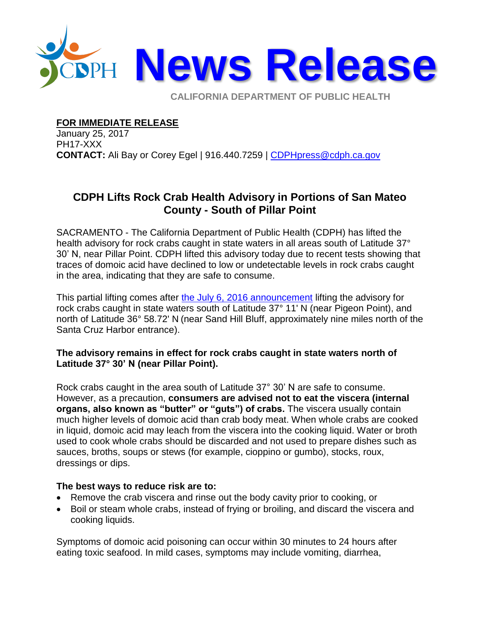

**CALIFORNIA DEPARTMENT OF PUBLIC HEALTH** 

## **FOR IMMEDIATE RELEASE**

January 25, 2017 PH17-XXX **CONTACT:** Ali Bay or Corey Egel | 916.440.7259 | [CDPHpress@cdph.ca.gov](mailto:CDPHpress@cdph.ca.gov)

## **CDPH Lifts Rock Crab Health Advisory in Portions of San Mateo County - South of Pillar Point**

SACRAMENTO - The California Department of Public Health (CDPH) has lifted the health advisory for rock crabs caught in state waters in all areas south of Latitude 37° 30' N, near Pillar Point. CDPH lifted this advisory today due to recent tests showing that traces of domoic acid have declined to low or undetectable levels in rock crabs caught in the area, indicating that they are safe to consume.

This partial lifting comes after [the July 6, 2016 announcement](http://www.cdph.ca.gov/Pages/NR16-041.aspx) lifting the advisory for rock crabs caught in state waters south of Latitude 37° 11' N (near Pigeon Point), and north of Latitude 36° 58.72' N (near Sand Hill Bluff, approximately nine miles north of the Santa Cruz Harbor entrance).

## **The advisory remains in effect for rock crabs caught in state waters north of Latitude 37° 30' N (near Pillar Point).**

Rock crabs caught in the area south of Latitude 37° 30' N are safe to consume. However, as a precaution, **consumers are advised not to eat the viscera (internal organs, also known as "butter" or "guts") of crabs.** The viscera usually contain much higher levels of domoic acid than crab body meat. When whole crabs are cooked in liquid, domoic acid may leach from the viscera into the cooking liquid. Water or broth used to cook whole crabs should be discarded and not used to prepare dishes such as sauces, broths, soups or stews (for example, cioppino or gumbo), stocks, roux, dressings or dips.

## **The best ways to reduce risk are to:**

- Remove the crab viscera and rinse out the body cavity prior to cooking, or
- Boil or steam whole crabs, instead of frying or broiling, and discard the viscera and cooking liquids.

Symptoms of domoic acid poisoning can occur within 30 minutes to 24 hours after eating toxic seafood. In mild cases, symptoms may include vomiting, diarrhea,